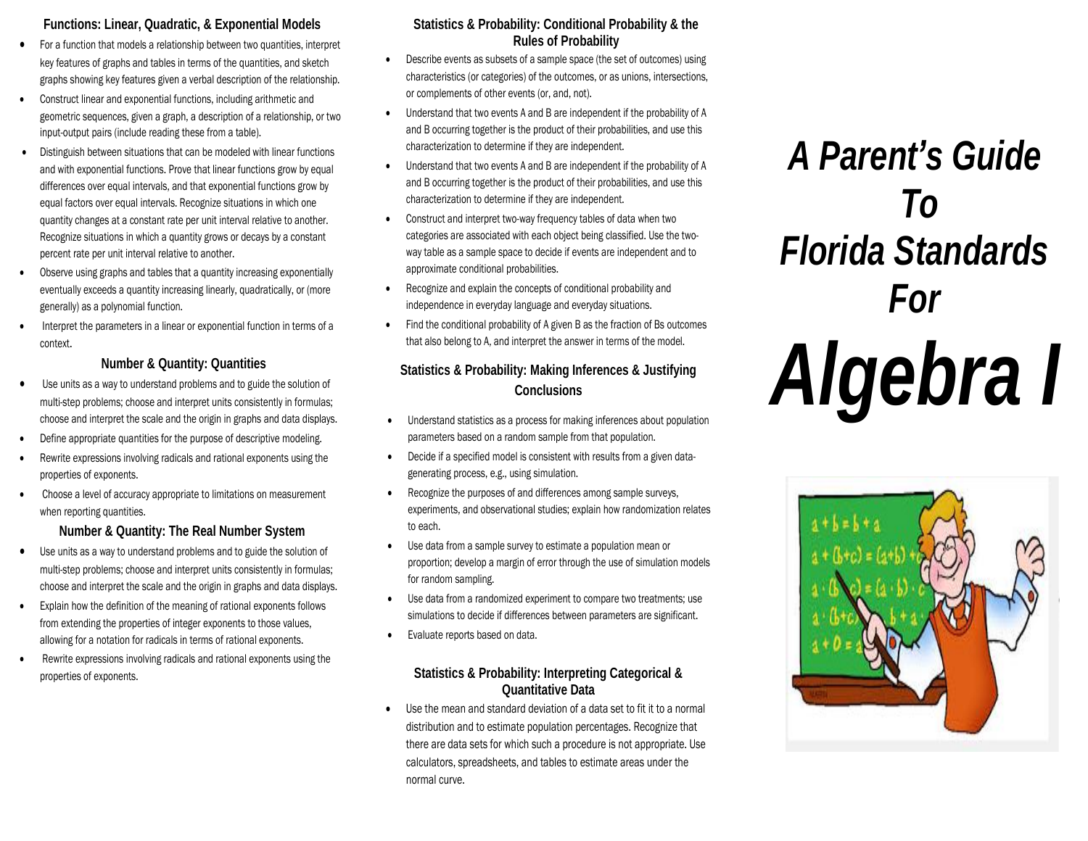## **Functions: Linear, Quadratic, & Exponential Models**

- For a function that models a relationship between two quantities, interpret key features of graphs and tables in terms of the quantities, and sketch graphs showing key features given a verbal description of the relationship.
- Construct linear and exponential functions, including arithmetic and geometric sequences, given a graph, a description of a relationship, or two input-output pairs (include reading these from a table).
- Distinguish between situations that can be modeled with linear functions and with exponential functions. Prove that linear functions grow by equal differences over equal intervals, and that exponential functions grow by equal factors over equal intervals. Recognize situations in which one quantity changes at a constant rate per unit interval relative to another. Recognize situations in which a quantity grows or decays by a constant percent rate per unit interval relative to another.
- Observe using graphs and tables that a quantity increasing exponentially eventually exceeds a quantity increasing linearly, quadratically, or (more generally) as a polynomial function.
- Interpret the parameters in a linear or exponential function in terms of a context.

## **Number & Quantity: Quantities**

- Use units as a way to understand problems and to guide the solution of multi-step problems; choose and interpret units consistently in formulas; choose and interpret the scale and the origin in graphs and data displays.
- Define appropriate quantities for the purpose of descriptive modeling.
- Rewrite expressions involving radicals and rational exponents using the properties of exponents.
- Choose a level of accuracy appropriate to limitations on measurement when reporting quantities.

## **Number & Quantity: The Real Number System**

- Use units as a way to understand problems and to guide the solution of multi-step problems; choose and interpret units consistently in formulas; choose and interpret the scale and the origin in graphs and data displays.
- Explain how the definition of the meaning of rational exponents follows from extending the properties of integer exponents to those values, allowing for a notation for radicals in terms of rational exponents.
- Rewrite expressions involving radicals and rational exponents using the properties of exponents.

## **Statistics & Probability: Conditional Probability & the Rules of Probability**

- Describe events as subsets of a sample space (the set of outcomes) using characteristics (or categories) of the outcomes, or as unions, intersections, or complements of other events (or, and, not).
- Understand that two events A and B are independent if the probability of A and B occurring together is the product of their probabilities, and use this characterization to determine if they are independent.
- Understand that two events A and B are independent if the probability of A and B occurring together is the product of their probabilities, and use this characterization to determine if they are independent.
- Construct and interpret two-way frequency tables of data when two categories are associated with each object being classified. Use the twoway table as a sample space to decide if events are independent and to approximate conditional probabilities.
- Recognize and explain the concepts of conditional probability and independence in everyday language and everyday situations.
- Find the conditional probability of A given B as the fraction of Bs outcomes that also belong to A, and interpret the answer in terms of the model.

## **Statistics & Probability: Making Inferences & Justifying Conclusions**

- Understand statistics as a process for making inferences about population parameters based on a random sample from that population.
- Decide if a specified model is consistent with results from a given datagenerating process, e.g., using simulation.
- Recognize the purposes of and differences among sample surveys, experiments, and observational studies; explain how randomization relates to each.
- Use data from a sample survey to estimate a population mean or proportion; develop a margin of error through the use of simulation models for random sampling.
- Use data from a randomized experiment to compare two treatments; use simulations to decide if differences between parameters are significant.
- Evaluate reports based on data.

## **Statistics & Probability: Interpreting Categorical & Quantitative Data**

 Use the mean and standard deviation of a data set to fit it to a normal distribution and to estimate population percentages. Recognize that there are data sets for which such a procedure is not appropriate. Use calculators, spreadsheets, and tables to estimate areas under the normal curve.

# *A Parent's Guide To Florida Standards For Algebra I*